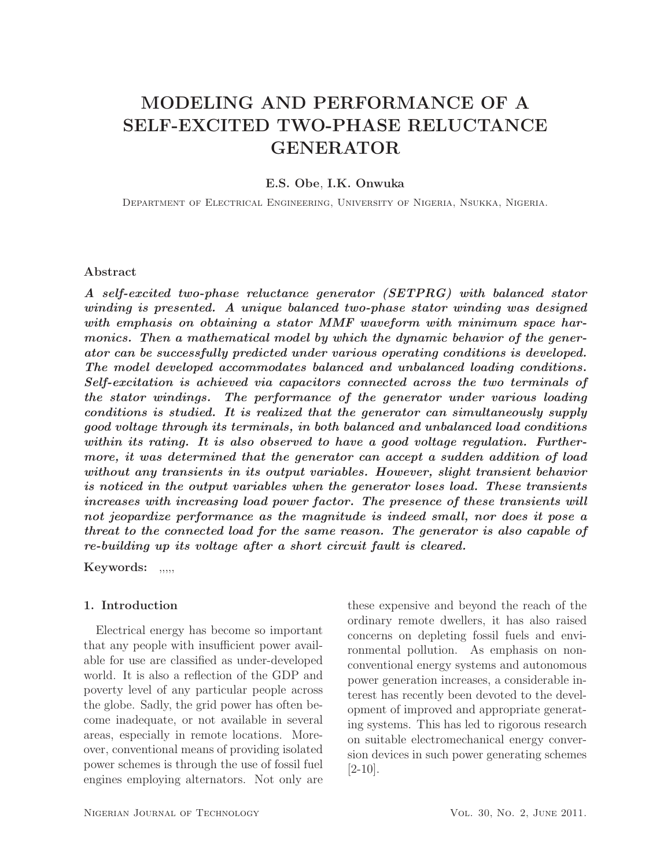# MODELING AND PERFORMANCE OF A SELF-EXCITED TWO-PHASE RELUCTANCE GENERATOR

## E.S. Obe, I.K. Onwuka

Department of Electrical Engineering, University of Nigeria, Nsukka, Nigeria.

### Abstract

A self-excited two-phase reluctance generator (SETPRG) with balanced stator winding is presented. A unique balanced two-phase stator winding was designed with emphasis on obtaining a stator MMF waveform with minimum space harmonics. Then a mathematical model by which the dynamic behavior of the generator can be successfully predicted under various operating conditions is developed. The model developed accommodates balanced and unbalanced loading conditions. Self-excitation is achieved via capacitors connected across the two terminals of the stator windings. The performance of the generator under various loading conditions is studied. It is realized that the generator can simultaneously supply good voltage through its terminals, in both balanced and unbalanced load conditions within its rating. It is also observed to have a good voltage regulation. Furthermore, it was determined that the generator can accept a sudden addition of load without any transients in its output variables. However, slight transient behavior is noticed in the output variables when the generator loses load. These transients increases with increasing load power factor. The presence of these transients will not jeopardize performance as the magnitude is indeed small, nor does it pose a threat to the connected load for the same reason. The generator is also capable of re-building up its voltage after a short circuit fault is cleared.

Keywords: ,,,,,

## 1. Introduction

Electrical energy has become so important that any people with insufficient power available for use are classified as under-developed world. It is also a reflection of the GDP and poverty level of any particular people across the globe. Sadly, the grid power has often become inadequate, or not available in several areas, especially in remote locations. Moreover, conventional means of providing isolated power schemes is through the use of fossil fuel engines employing alternators. Not only are

these expensive and beyond the reach of the ordinary remote dwellers, it has also raised concerns on depleting fossil fuels and environmental pollution. As emphasis on nonconventional energy systems and autonomous power generation increases, a considerable interest has recently been devoted to the development of improved and appropriate generating systems. This has led to rigorous research on suitable electromechanical energy conversion devices in such power generating schemes [2-10].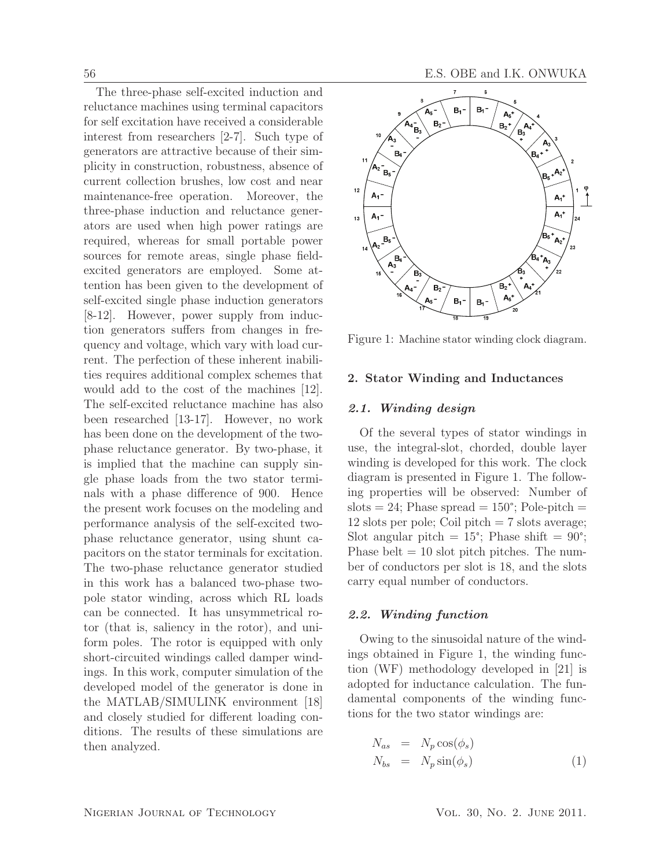The three-phase self-excited induction and reluctance machines using terminal capacitors for self excitation have received a considerable interest from researchers [2-7]. Such type of generators are attractive because of their simplicity in construction, robustness, absence of current collection brushes, low cost and near maintenance-free operation. Moreover, the three-phase induction and reluctance generators are used when high power ratings are required, whereas for small portable power sources for remote areas, single phase fieldexcited generators are employed. Some attention has been given to the development of self-excited single phase induction generators [8-12]. However, power supply from induction generators suffers from changes in frequency and voltage, which vary with load current. The perfection of these inherent inabilities requires additional complex schemes that would add to the cost of the machines [12]. The self-excited reluctance machine has also been researched [13-17]. However, no work has been done on the development of the twophase reluctance generator. By two-phase, it is implied that the machine can supply single phase loads from the two stator terminals with a phase difference of 900. Hence the present work focuses on the modeling and performance analysis of the self-excited twophase reluctance generator, using shunt capacitors on the stator terminals for excitation. The two-phase reluctance generator studied in this work has a balanced two-phase twopole stator winding, across which RL loads can be connected. It has unsymmetrical rotor (that is, saliency in the rotor), and uniform poles. The rotor is equipped with only short-circuited windings called damper windings. In this work, computer simulation of the developed model of the generator is done in the MATLAB/SIMULINK environment [18] and closely studied for different loading conditions. The results of these simulations are then analyzed.



Figure 1: Machine stator winding clock diagram.

## 2. Stator Winding and Inductances

## 2.1. Winding design

Of the several types of stator windings in use, the integral-slot, chorded, double layer winding is developed for this work. The clock diagram is presented in Figure 1. The following properties will be observed: Number of slots  $= 24$ ; Phase spread  $= 150^{\circ}$ ; Pole-pitch  $=$ 12 slots per pole; Coil pitch  $= 7$  slots average; Slot angular pitch =  $15^{\circ}$ ; Phase shift =  $90^{\circ}$ ; Phase belt  $= 10$  slot pitch pitches. The number of conductors per slot is 18, and the slots carry equal number of conductors.

## 2.2. Winding function

Owing to the sinusoidal nature of the windings obtained in Figure 1, the winding function (WF) methodology developed in [21] is adopted for inductance calculation. The fundamental components of the winding functions for the two stator windings are:

$$
N_{as} = N_p \cos(\phi_s)
$$
  
\n
$$
N_{bs} = N_p \sin(\phi_s)
$$
\n(1)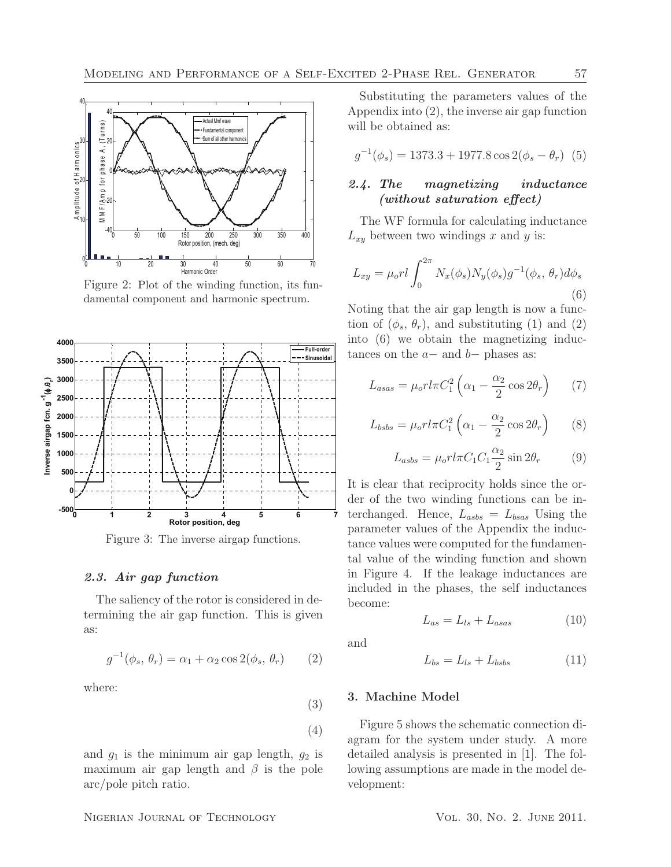

Figure 2: Plot of the winding function, its fundamental component and harmonic spectrum.



Figure 3: The inverse airgap functions.

## 2.3. Air gap function

The saliency of the rotor is considered in determining the air gap function. This is given as:

and  $g_1$  is the minimum air gap length,  $g_2$  is maximum air gap length and  $\beta$  is the pole

$$
g^{-1}(\phi_s, \theta_r) = \alpha_1 + \alpha_2 \cos 2(\phi_s, \theta_r) \qquad (2)
$$

where:

Substituting the parameters values of the Appendix into (2), the inverse air gap function will be obtained as:

$$
g^{-1}(\phi_s) = 1373.3 + 1977.8 \cos 2(\phi_s - \theta_r) \tag{5}
$$

## 2.4. The magnetizing inductance (without saturation effect)

The WF formula for calculating inductance  $L_{xy}$  between two windings x and y is:

$$
L_{xy} = \mu_o r l \int_0^{2\pi} N_x(\phi_s) N_y(\phi_s) g^{-1}(\phi_s, \theta_r) d\phi_s
$$
\n(6)

Noting that the air gap length is now a function of  $(\phi_s, \theta_r)$ , and substituting (1) and (2) into (6) we obtain the magnetizing inductances on the  $a-$  and  $b-$  phases as:

$$
L_{asas} = \mu_o r l \pi C_1^2 \left( \alpha_1 - \frac{\alpha_2}{2} \cos 2\theta_r \right) \tag{7}
$$

$$
L_{bsbs} = \mu_o r l \pi C_1^2 \left( \alpha_1 - \frac{\alpha_2}{2} \cos 2\theta_r \right) \tag{8}
$$

$$
L_{asbs} = \mu_o r l \pi C_1 C_1 \frac{\alpha_2}{2} \sin 2\theta_r \tag{9}
$$

It is clear that reciprocity holds since the order of the two winding functions can be interchanged. Hence,  $L_{asbs} = L_{bas}$  Using the parameter values of the Appendix the inductance values were computed for the fundamental value of the winding function and shown in Figure 4. If the leakage inductances are included in the phases, the self inductances become:

$$
L_{as} = L_{ls} + L_{asas} \tag{10}
$$

and

(3)

(4)

$$
L_{bs} = L_{ls} + L_{bsbs} \tag{11}
$$

### 3. Machine Model

Figure 5 shows the schematic connection diagram for the system under study. A more detailed analysis is presented in [1]. The following assumptions are made in the model development:

arc/pole pitch ratio.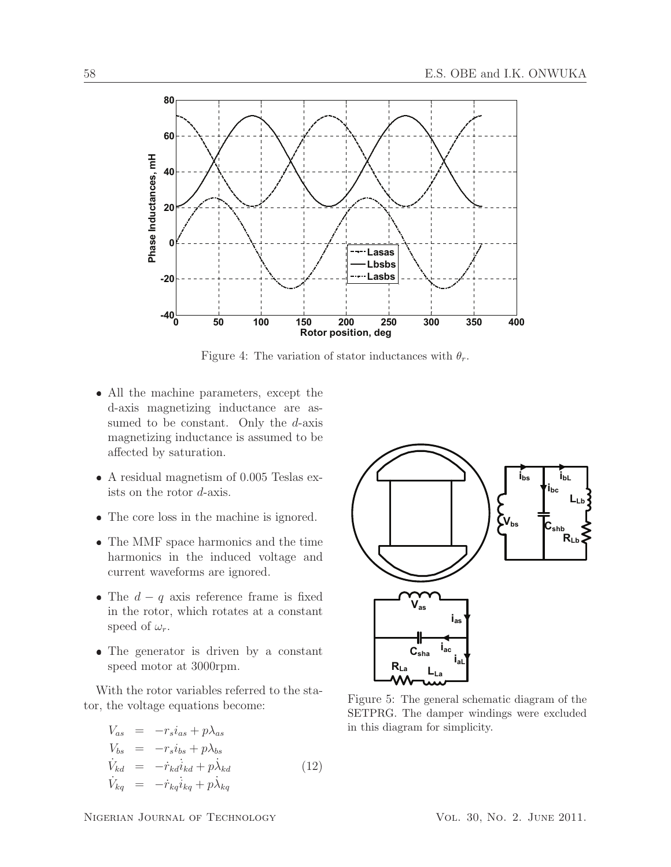

Figure 4: The variation of stator inductances with  $\theta_r$ .

- All the machine parameters, except the d-axis magnetizing inductance are assumed to be constant. Only the  $d$ -axis magnetizing inductance is assumed to be affected by saturation.
- A residual magnetism of 0.005 Teslas exists on the rotor d-axis.
- The core loss in the machine is ignored.
- The MMF space harmonics and the time harmonics in the induced voltage and current waveforms are ignored.
- The  $d q$  axis reference frame is fixed in the rotor, which rotates at a constant speed of  $\omega_r$ .
- The generator is driven by a constant speed motor at 3000rpm.

With the rotor variables referred to the stator, the voltage equations become:

$$
V_{as} = -r_s i_{as} + p \lambda_{as}
$$
  
\n
$$
V_{bs} = -r_s i_{bs} + p \lambda_{bs}
$$
  
\n
$$
\dot{V}_{kd} = -\dot{r}_{kd} i_{kd} + p \lambda_{kd}
$$
  
\n
$$
\dot{V}_{kq} = -\dot{r}_{kq} i_{kq} + p \lambda_{kq}
$$
\n(12)



Figure 5: The general schematic diagram of the SETPRG. The damper windings were excluded in this diagram for simplicity.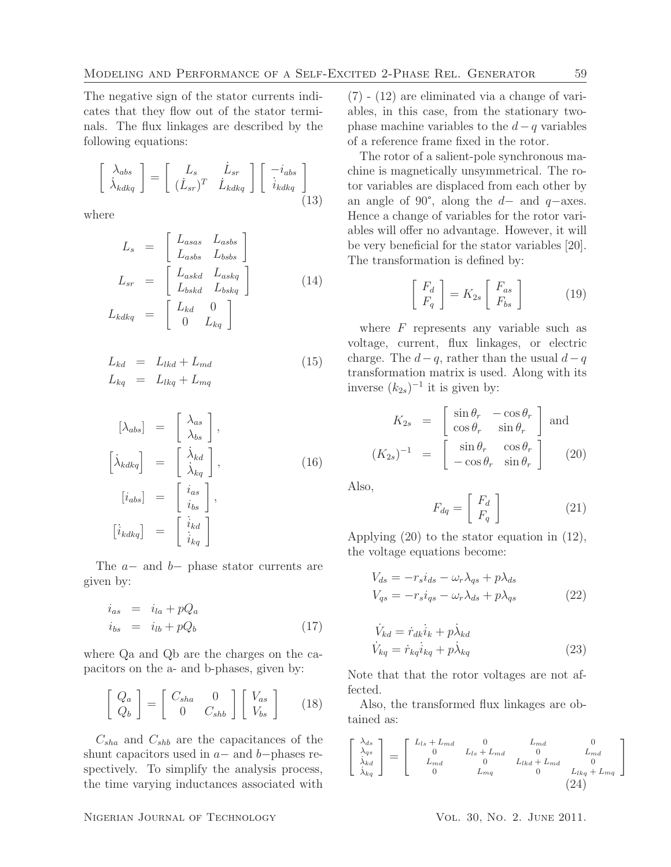The negative sign of the stator currents indicates that they flow out of the stator terminals. The flux linkages are described by the following equations:

$$
\begin{bmatrix}\n\lambda_{abs} \\
\dot{\lambda}_{kdkq}\n\end{bmatrix} = \begin{bmatrix}\nL_s & \dot{L}_{sr} \\
(\dot{L}_{sr})^T & \dot{L}_{kdkq}\n\end{bmatrix} \begin{bmatrix}\n-i_{abs} \\
i_{kdkq}\n\end{bmatrix}
$$
\n(13)

where

$$
L_s = \begin{bmatrix} L_{asas} & L_{asbs} \\ L_{asbs} & L_{bobs} \end{bmatrix}
$$
  
\n
$$
L_{sr} = \begin{bmatrix} L_{askd} & L_{askq} \\ L_{bskd} & L_{bskq} \end{bmatrix}
$$
 (14)  
\n
$$
L_{kdkg} = \begin{bmatrix} L_{kd} & 0 \\ 0 & L_{kq} \end{bmatrix}
$$

$$
L_{kd} = L_{lkd} + L_{md}
$$
  
\n
$$
L_{kq} = L_{lkq} + L_{mq}
$$
\n(15)

$$
\begin{aligned}\n[\lambda_{abs}] &= \begin{bmatrix} \lambda_{as} \\ \lambda_{bs} \end{bmatrix}, \\
[\lambda_{kdkq}] &= \begin{bmatrix} \lambda_{kd} \\ \lambda_{kq} \end{bmatrix}, \\
[i_{abs}] &= \begin{bmatrix} i_{as} \\ i_{bs} \end{bmatrix}, \\
[\lambda_{kdkq}] &= \begin{bmatrix} i_{kd} \\ i_{kd} \end{bmatrix}\n\end{aligned}
$$
\n(16)

The a− and b− phase stator currents are given by:

$$
\begin{array}{rcl}\ni_{as} & = & i_{la} + pQ_a \\
i_{bs} & = & i_{lb} + pQ_b\n\end{array} \tag{17}
$$

where Qa and Qb are the charges on the capacitors on the a- and b-phases, given by:

$$
\left[\begin{array}{c} Q_a \\ Q_b \end{array}\right] = \left[\begin{array}{cc} C_{sha} & 0 \\ 0 & C_{shb} \end{array}\right] \left[\begin{array}{c} V_{as} \\ V_{bs} \end{array}\right]
$$
(18)

 $C_{sha}$  and  $C_{shb}$  are the capacitances of the shunt capacitors used in  $a-$  and  $b$ −phases respectively. To simplify the analysis process, the time varying inductances associated with

(7) - (12) are eliminated via a change of variables, in this case, from the stationary twophase machine variables to the  $d-q$  variables of a reference frame fixed in the rotor.

The rotor of a salient-pole synchronous machine is magnetically unsymmetrical. The rotor variables are displaced from each other by an angle of 90°, along the  $d-$  and  $q-$ axes. Hence a change of variables for the rotor variables will offer no advantage. However, it will be very beneficial for the stator variables [20]. The transformation is defined by:

$$
\begin{bmatrix} F_d \\ F_q \end{bmatrix} = K_{2s} \begin{bmatrix} F_{as} \\ F_{bs} \end{bmatrix}
$$
 (19)

where  $F$  represents any variable such as voltage, current, flux linkages, or electric charge. The  $d-q$ , rather than the usual  $d-q$ transformation matrix is used. Along with its inverse  $(k_{2s})^{-1}$  it is given by:

$$
K_{2s} = \begin{bmatrix} \sin \theta_r & -\cos \theta_r \\ \cos \theta_r & \sin \theta_r \end{bmatrix}
$$
 and  

$$
(K_{2s})^{-1} = \begin{bmatrix} \sin \theta_r & \cos \theta_r \\ -\cos \theta_r & \sin \theta_r \end{bmatrix}
$$
 (20)

Also,

$$
F_{dq} = \begin{bmatrix} F_d \\ F_q \end{bmatrix} \tag{21}
$$

Applying (20) to the stator equation in (12), the voltage equations become:

$$
V_{ds} = -r_s i_{ds} - \omega_r \lambda_{qs} + p \lambda_{ds}
$$
  
\n
$$
V_{qs} = -r_s i_{qs} - \omega_r \lambda_{ds} + p \lambda_{qs}
$$
\n(22)

$$
\dot{V}_{kd} = \dot{r}_{dk}\dot{i}_k + p\dot{\lambda}_{kd}
$$
\n
$$
\dot{V}_{kq} = \dot{r}_{kq}\dot{i}_{kq} + p\dot{\lambda}_{kq}
$$
\n(23)

Note that that the rotor voltages are not affected.

Also, the transformed flux linkages are obtained as:

$$
\begin{bmatrix}\n\lambda_{ds} \\
\lambda_{qs} \\
\lambda_{kd} \\
\lambda_{kq}\n\end{bmatrix} = \begin{bmatrix}\nL_{ls} + L_{md} & 0 & L_{md} & 0 \\
0 & L_{ls} + L_{md} & 0 & L_{md} \\
L_{md} & 0 & L_{lkd} + L_{md} & 0 \\
0 & L_{mq} & 0 & L_{lkq} + L_{mq}\n\end{bmatrix}
$$
\n(24)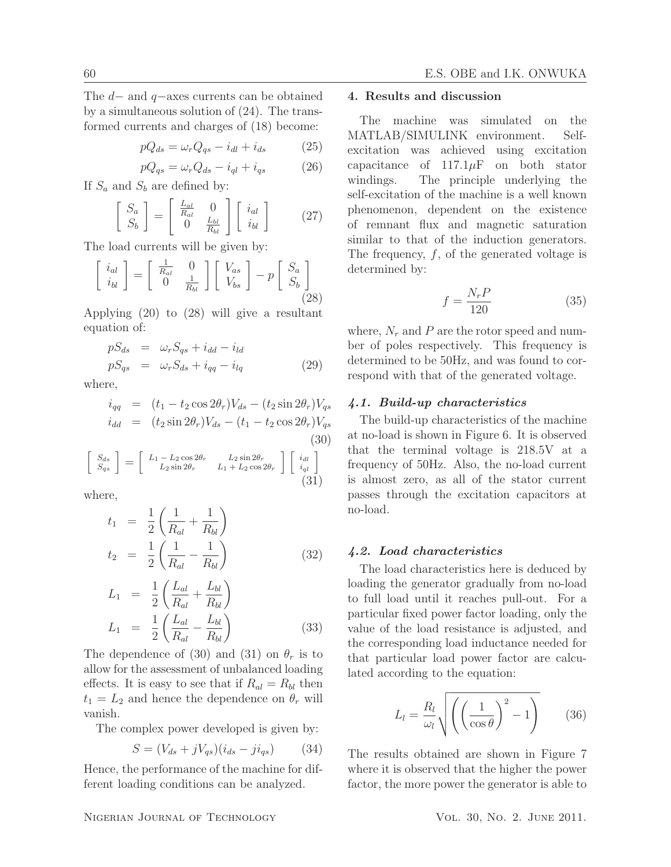The d− and q−axes currents can be obtained by a simultaneous solution of (24). The transformed currents and charges of (18) become:

$$
pQ_{ds} = \omega_r Q_{qs} - i_{dl} + i_{ds} \tag{25}
$$

$$
pQ_{qs} = \omega_r Q_{ds} - i_{ql} + i_{qs} \tag{26}
$$

If  $S_a$  and  $S_b$  are defined by:

$$
\begin{bmatrix} S_a \\ S_b \end{bmatrix} = \begin{bmatrix} \frac{L_{al}}{R_{al}} & 0 \\ 0 & \frac{L_{bl}}{R_{bl}} \end{bmatrix} \begin{bmatrix} i_{al} \\ i_{bl} \end{bmatrix}
$$
 (27)

The load currents will be given by:

$$
\begin{bmatrix} i_{al} \\ i_{bl} \end{bmatrix} = \begin{bmatrix} \frac{1}{R_{al}} & 0 \\ 0 & \frac{1}{R_{bl}} \end{bmatrix} \begin{bmatrix} V_{as} \\ V_{bs} \end{bmatrix} - p \begin{bmatrix} S_a \\ S_b \end{bmatrix}
$$
\n(28)

Applying (20) to (28) will give a resultant equation of:

$$
pS_{ds} = \omega_r S_{qs} + i_{dd} - i_{ld}
$$
  
\n
$$
pS_{qs} = \omega_r S_{ds} + i_{qq} - i_{lq}
$$
\n(29)

where,

$$
i_{qq} = (t_1 - t_2 \cos 2\theta_r)V_{ds} - (t_2 \sin 2\theta_r)V_{qs}
$$
  
\n
$$
i_{dd} = (t_2 \sin 2\theta_r)V_{ds} - (t_1 - t_2 \cos 2\theta_r)V_{qs}
$$
  
\n(30)

$$
\begin{bmatrix} S_{ds} \\ S_{qs} \end{bmatrix} = \begin{bmatrix} L_1 - L_2 \cos 2\theta_r & L_2 \sin 2\theta_r \\ L_2 \sin 2\theta_r & L_1 + L_2 \cos 2\theta_r \end{bmatrix} \begin{bmatrix} i_{dl} \\ i_{ql} \\ (31) \end{bmatrix}
$$

where,

$$
t_1 = \frac{1}{2} \left( \frac{1}{R_{al}} + \frac{1}{R_{bl}} \right)
$$
  
\n
$$
t_2 = \frac{1}{2} \left( \frac{1}{R_{al}} - \frac{1}{R_{bl}} \right)
$$
 (32)

$$
L_1 = \frac{1}{2} \left( \frac{L_{al}}{R_{al}} + \frac{L_{bl}}{R_{bl}} \right)
$$
  
\n
$$
L_1 = \frac{1}{2} \left( \frac{L_{al}}{R_{al}} - \frac{L_{bl}}{R_{bl}} \right)
$$
 (33)

The dependence of (30) and (31) on  $\theta_r$  is to allow for the assessment of unbalanced loading effects. It is easy to see that if  $R_{al} = R_{bl}$  then  $t_1 = L_2$  and hence the dependence on  $\theta_r$  will vanish.

The complex power developed is given by:

$$
S = (V_{ds} + jV_{qs})(i_{ds} - ji_{qs})
$$
 (34)

Hence, the performance of the machine for different loading conditions can be analyzed.

### 4. Results and discussion

The machine was simulated on the MATLAB/SIMULINK environment. Selfexcitation was achieved using excitation capacitance of  $117.1 \mu$ F on both stator windings. The principle underlying the self-excitation of the machine is a well known phenomenon, dependent on the existence of remnant flux and magnetic saturation similar to that of the induction generators. The frequency,  $f$ , of the generated voltage is determined by:

$$
f = \frac{N_r P}{120} \tag{35}
$$

where,  $N_r$  and P are the rotor speed and number of poles respectively. This frequency is determined to be 50Hz, and was found to correspond with that of the generated voltage.

## 4.1. Build-up characteristics

The build-up characteristics of the machine at no-load is shown in Figure 6. It is observed that the terminal voltage is 218.5V at a frequency of 50Hz. Also, the no-load current is almost zero, as all of the stator current passes through the excitation capacitors at no-load.

#### 4.2. Load characteristics

The load characteristics here is deduced by loading the generator gradually from no-load to full load until it reaches pull-out. For a particular fixed power factor loading, only the value of the load resistance is adjusted, and the corresponding load inductance needed for that particular load power factor are calculated according to the equation:

$$
L_l = \frac{R_l}{\omega_l} \sqrt{\left(\left(\frac{1}{\cos \theta}\right)^2 - 1\right)}\tag{36}
$$

The results obtained are shown in Figure 7 where it is observed that the higher the power factor, the more power the generator is able to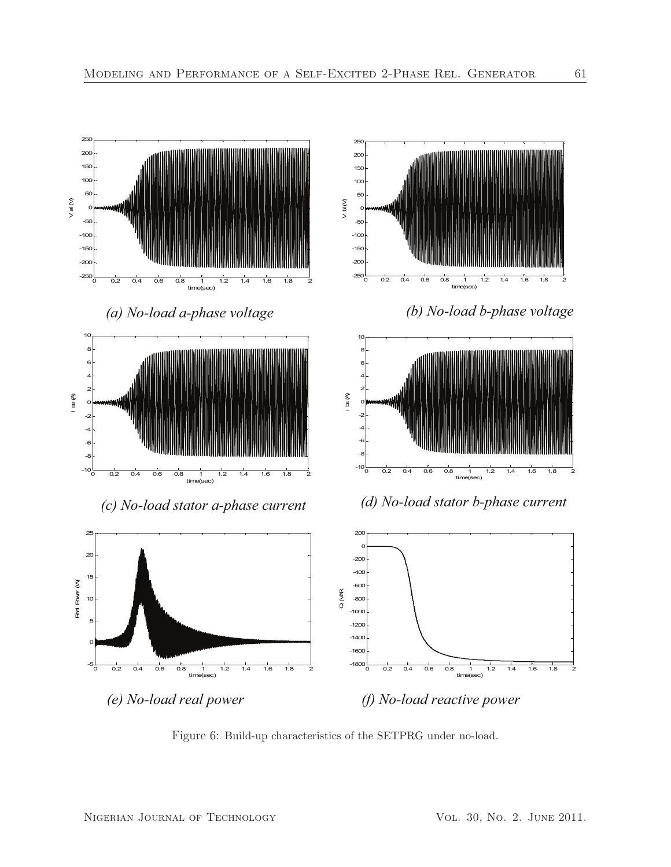

Figure 6: Build-up characteristics of the SETPRG under no-load.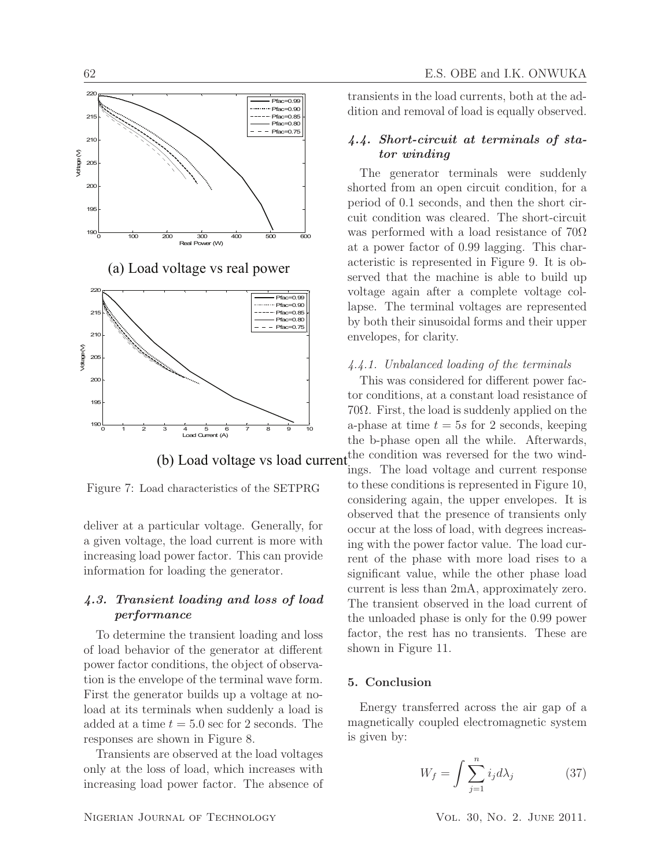

(a) Load voltage vs rea



(b) Load voltage vs load current.

Figure 7: Load characteristics of the SETPRG

deliver at a particular voltage. Generally, for a given voltage, the load current is more with increasing load power factor. This can provide information for loading the generator.

## 4.3. Transient loading and loss of load performance

To determine the transient loading and loss of load behavior of the generator at different power factor conditions, the object of observation is the envelope of the terminal wave form. First the generator builds up a voltage at noload at its terminals when suddenly a load is added at a time  $t = 5.0$  sec for 2 seconds. The responses are shown in Figure 8.

Transients are observed at the load voltages only at the loss of load, which increases with increasing load power factor. The absence of transients in the load currents, both at the addition and removal of load is equally observed.

## 4.4. Short-circuit at terminals of stator winding

I power acteristic is represented in Figure 9. It is ob-<br>served that the machine is able to build up The generator terminals were suddenly shorted from an open circuit condition, for a period of 0.1 seconds, and then the short circuit condition was cleared. The short-circuit was performed with a load resistance of  $70\Omega$ at a power factor of 0.99 lagging. This characteristic is represented in Figure 9. It is obvoltage again after a complete voltage collapse. The terminal voltages are represented by both their sinusoidal forms and their upper envelopes, for clarity.

### 4.4.1. Unbalanced loading of the terminals

This was considered for different power factor conditions, at a constant load resistance of 70Ω. First, the load is suddenly applied on the a-phase at time  $t = 5s$  for 2 seconds, keeping the b-phase open all the while. Afterwards, the condition was reversed for the two wind-

ings. The load voltage and current response to these conditions is represented in Figure 10, considering again, the upper envelopes. It is observed that the presence of transients only occur at the loss of load, with degrees increasing with the power factor value. The load current of the phase with more load rises to a significant value, while the other phase load current is less than 2mA, approximately zero. The transient observed in the load current of the unloaded phase is only for the 0.99 power factor, the rest has no transients. These are shown in Figure 11.

### 5. Conclusion

Energy transferred across the air gap of a magnetically coupled electromagnetic system is given by:

$$
W_f = \int \sum_{j=1}^{n} i_j d\lambda_j \tag{37}
$$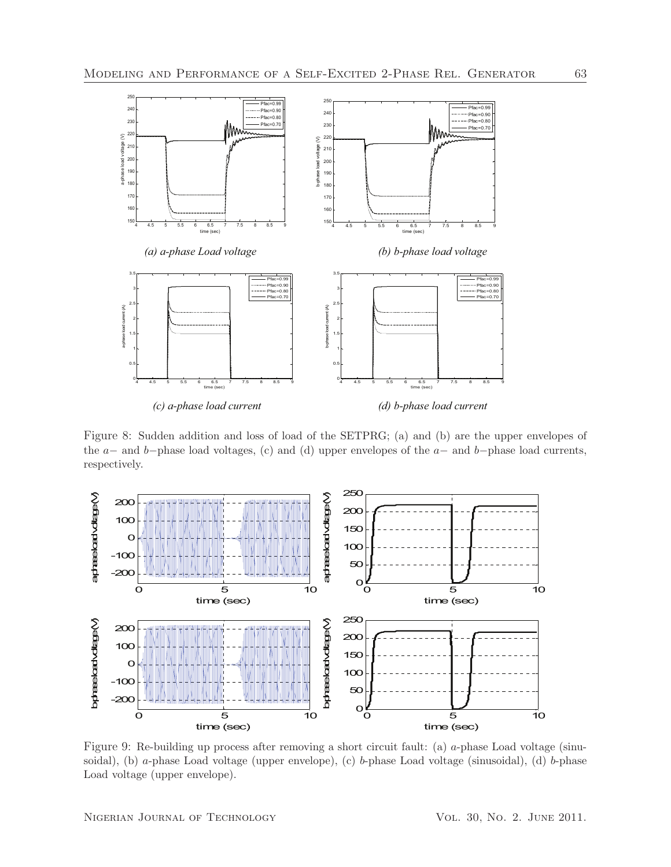

Figure 8: Sudden addition and loss of load of the SETPRG; (a) and (b) are the upper envelopes of the  $a-$  and  $b-$ phase load voltages, (c) and (d) upper envelopes of the  $a-$  and  $b-$ phase load currents, respectively.



Figure 9: Re-building up process after removing a short circuit fault: (a) a-phase Load voltage (sinusoidal), (b) a-phase Load voltage (upper envelope), (c) b-phase Load voltage (sinusoidal), (d) b-phase Load voltage (upper envelope).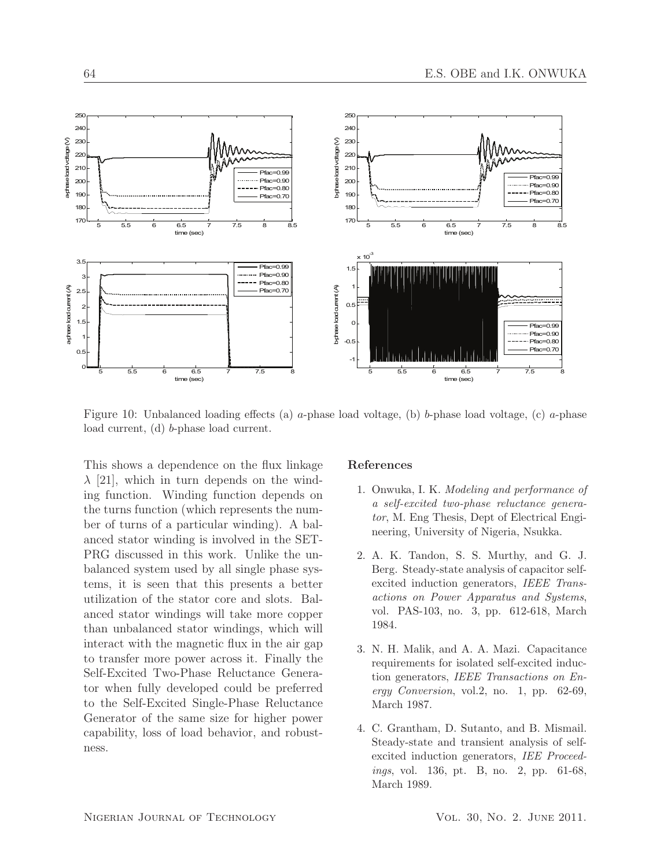

Figure 10: Unbalanced loading effects (a) a-phase load voltage, (b) b-phase load voltage, (c) a-phase load current, (d) b-phase load current.

This shows a dependence on the flux linkage  $\lambda$  [21], which in turn depends on the winding function. Winding function depends on the turns function (which represents the number of turns of a particular winding). A balanced stator winding is involved in the SET-PRG discussed in this work. Unlike the unbalanced system used by all single phase systems, it is seen that this presents a better utilization of the stator core and slots. Balanced stator windings will take more copper than unbalanced stator windings, which will interact with the magnetic flux in the air gap to transfer more power across it. Finally the Self-Excited Two-Phase Reluctance Generator when fully developed could be preferred to the Self-Excited Single-Phase Reluctance Generator of the same size for higher power capability, loss of load behavior, and robustness.

#### References

- 1. Onwuka, I. K. Modeling and performance of a self-excited two-phase reluctance generator, M. Eng Thesis, Dept of Electrical Engineering, University of Nigeria, Nsukka.
- 2. A. K. Tandon, S. S. Murthy, and G. J. Berg. Steady-state analysis of capacitor selfexcited induction generators, IEEE Transactions on Power Apparatus and Systems, vol. PAS-103, no. 3, pp. 612-618, March 1984.
- 3. N. H. Malik, and A. A. Mazi. Capacitance requirements for isolated self-excited induction generators, IEEE Transactions on Energy Conversion, vol.2, no. 1, pp. 62-69, March 1987.
- 4. C. Grantham, D. Sutanto, and B. Mismail. Steady-state and transient analysis of selfexcited induction generators, IEE Proceedings, vol. 136, pt. B, no. 2, pp. 61-68, March 1989.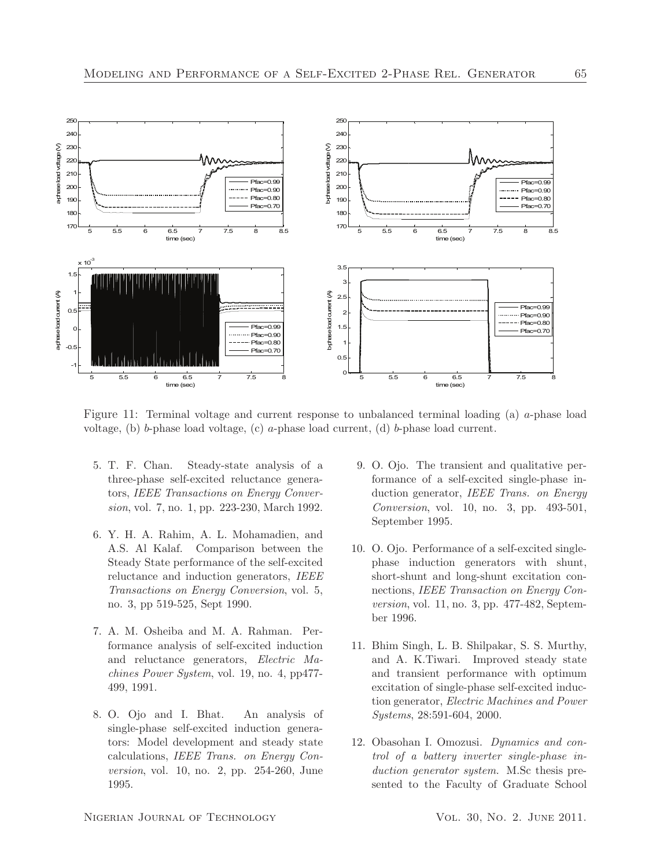

Figure 11: Terminal voltage and current response to unbalanced terminal loading (a) a-phase load voltage, (b) b-phase load voltage, (c) a-phase load current, (d) b-phase load current.

- 5. T. F. Chan. Steady-state analysis of a three-phase self-excited reluctance generators, IEEE Transactions on Energy Conversion, vol. 7, no. 1, pp. 223-230, March 1992.
- 6. Y. H. A. Rahim, A. L. Mohamadien, and A.S. Al Kalaf. Comparison between the Steady State performance of the self-excited reluctance and induction generators, IEEE Transactions on Energy Conversion, vol. 5, no. 3, pp 519-525, Sept 1990.
- 7. A. M. Osheiba and M. A. Rahman. Performance analysis of self-excited induction and reluctance generators, Electric Machines Power System, vol. 19, no. 4, pp477- 499, 1991.
- 8. O. Ojo and I. Bhat. An analysis of single-phase self-excited induction generators: Model development and steady state calculations, IEEE Trans. on Energy Conversion, vol. 10, no. 2, pp. 254-260, June 1995.
- 9. O. Ojo. The transient and qualitative performance of a self-excited single-phase induction generator, IEEE Trans. on Energy Conversion, vol. 10, no. 3, pp. 493-501, September 1995.
- 10. O. Ojo. Performance of a self-excited singlephase induction generators with shunt, short-shunt and long-shunt excitation connections, IEEE Transaction on Energy Conversion, vol. 11, no. 3, pp. 477-482, September 1996.
- 11. Bhim Singh, L. B. Shilpakar, S. S. Murthy, and A. K.Tiwari. Improved steady state and transient performance with optimum excitation of single-phase self-excited induction generator, Electric Machines and Power Systems, 28:591-604, 2000.
- 12. Obasohan I. Omozusi. Dynamics and control of a battery inverter single-phase induction generator system. M.Sc thesis presented to the Faculty of Graduate School